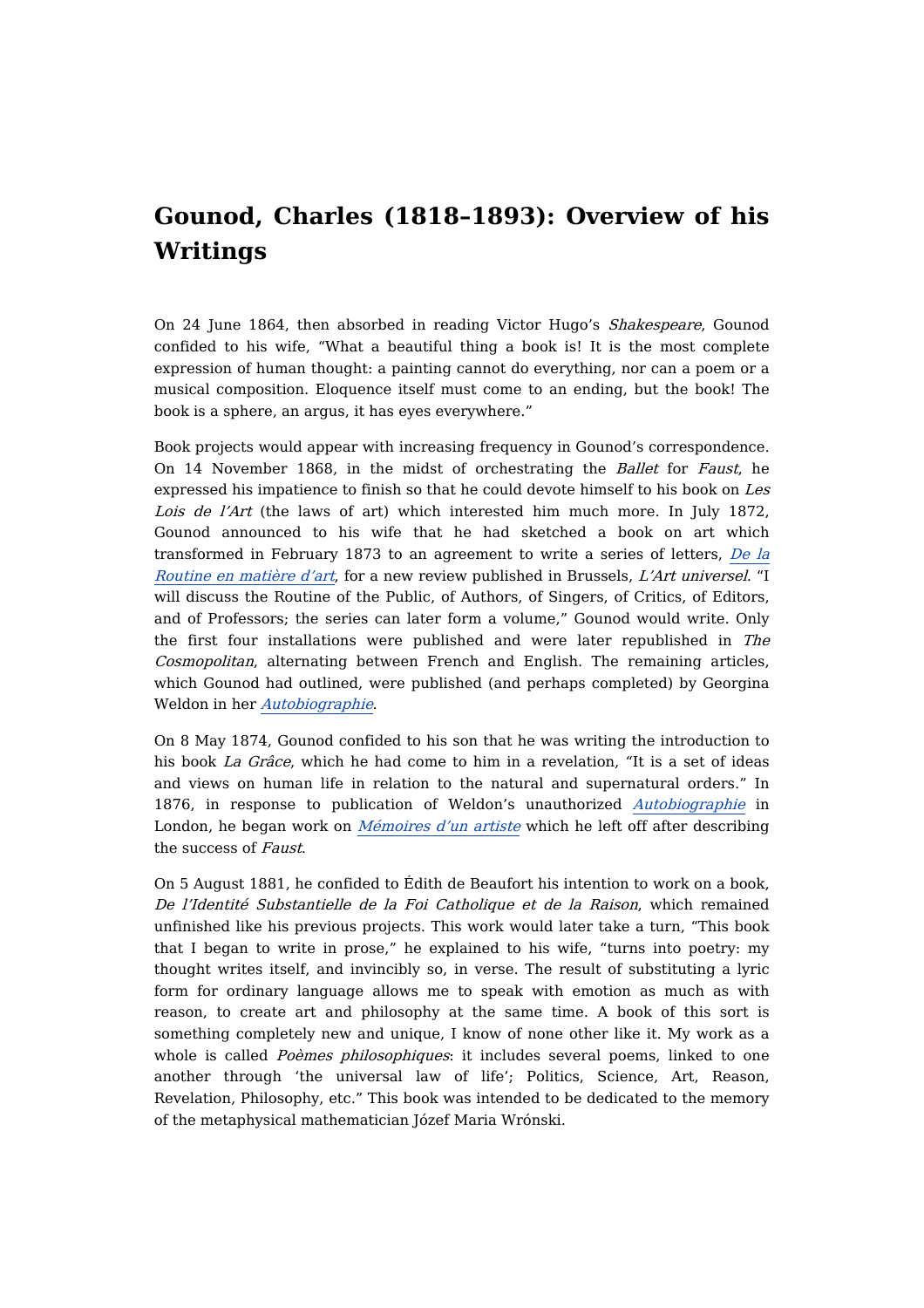## **Gounod, Charles (1818–1893): Overview of his Writings**

On 24 June 1864, then absorbed in reading Victor Hugo's Shakespeare, Gounod confided to his wife, "What a beautiful thing a book is! It is the most complete expression of human thought: a painting cannot do everything, nor can a poem or a musical composition. Eloquence itself must come to an ending, but the book! The book is a sphere, an argus, it has eyes everywhere."

Book projects would appear with increasing frequency in Gounod's correspondence. On 14 November 1868, in the midst of orchestrating the Ballet for Faust, he expressed his impatience to finish so that he could devote himself to his book on Les Lois de l'Art (the laws of art) which interested him much more. In July 1872, Gounod announced to his wife that he had sketched a book on art which [transformed](https://dicteco.huma-num.fr/article/2413) in February 1873 to an agreement to write a series of letters, De la Routine en matière d'art, for a new review published in Brussels, L'Art universel. "I will discuss the Routine of the Public, of Authors, of Singers, of Critics, of Editors, and of Professors; the series can later form a volume," Gounod would write. Only the first four installations were published and were later republished in The Cosmopolitan, alternating between French and English. The remaining articles, which Gounod had outlined, were published (and perhaps completed) by Georgina Weldon in her [Autobiographie](https://dicteco.huma-num.fr/anthology/2584).

On 8 May 1874, Gounod confided to his son that he was writing the introduction to his book *La Grâce*, which he had come to him in a revelation, "It is a set of ideas and views on human life in relation to the natural and supernatural orders." In 1876, in response to publication of Weldon's unauthorized [Autobiographie](https://dicteco.huma-num.fr/anthology/2584) in London, he began work on *[Mémoires](https://dicteco.huma-num.fr/book/2093) d'un artiste* which he left off after describing the success of Faust.

On 5 August 1881, he confided to Édith de Beaufort his intention to work on a book, De l'Identité Substantielle de la Foi Catholique et de la Raison, which remained unfinished like his previous projects. This work would later take a turn, "This book that I began to write in prose," he explained to his wife, "turns into poetry: my thought writes itself, and invincibly so, in verse. The result of substituting a lyric form for ordinary language allows me to speak with emotion as much as with reason, to create art and philosophy at the same time. A book of this sort is something completely new and unique, I know of none other like it. My work as a whole is called *Poèmes philosophiques*: it includes several poems, linked to one another through 'the universal law of life'; Politics, Science, Art, Reason, Revelation, Philosophy, etc." This book was intended to be dedicated to the memory of the metaphysical mathematician Józef Maria Wrónski.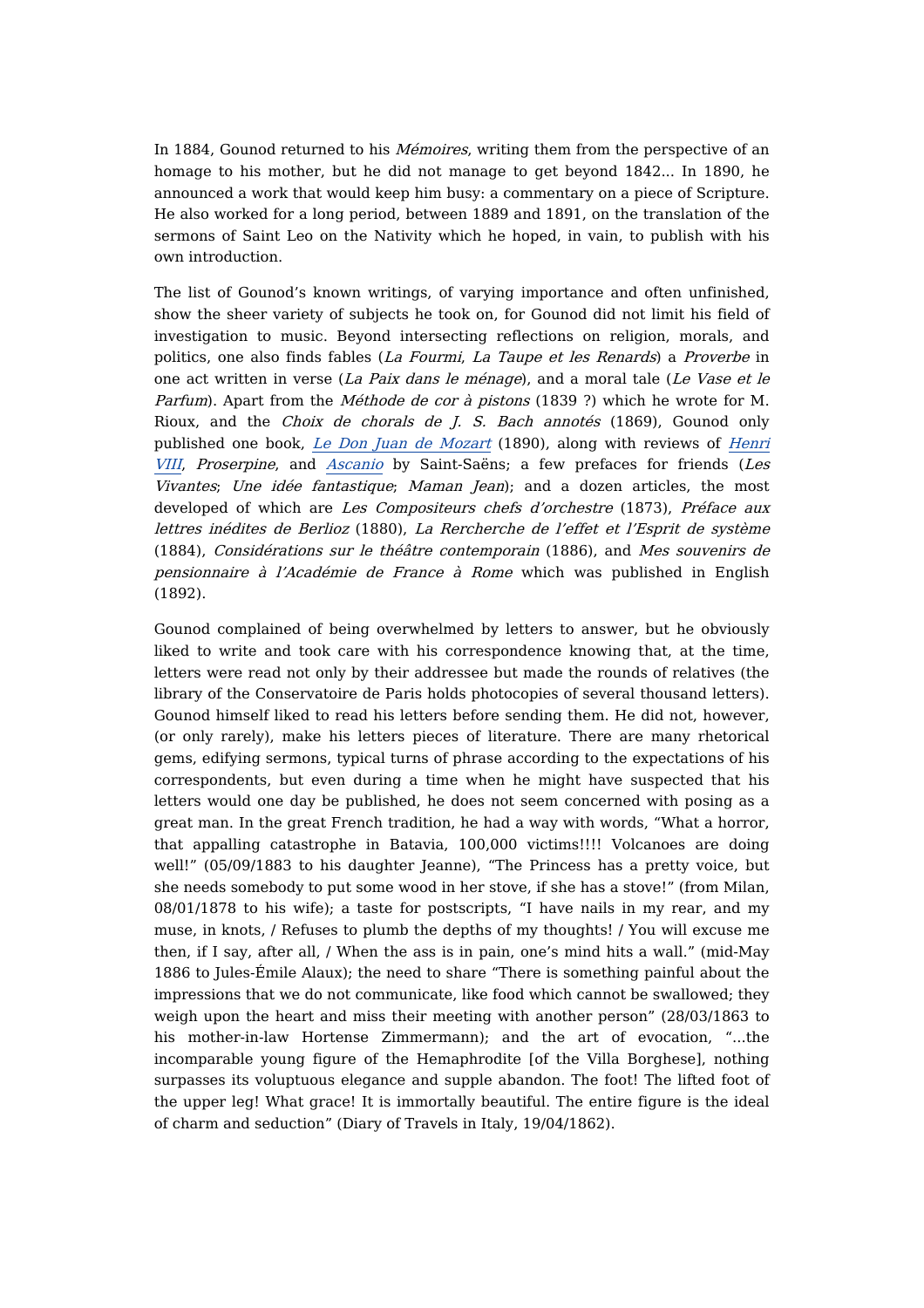In 1884, Gounod returned to his *Mémoires*, writing them from the perspective of an homage to his mother, but he did not manage to get beyond 1842... In 1890, he announced a work that would keep him busy: a commentary on a piece of Scripture. He also worked for a long period, between 1889 and 1891, on the translation of the sermons of Saint Leo on the Nativity which he hoped, in vain, to publish with his own introduction.

The list of Gounod's known writings, of varying importance and often unfinished, show the sheer variety of subjects he took on, for Gounod did not limit his field of investigation to music. Beyond intersecting reflections on religion, morals, and politics, one also finds fables (La Fourmi, La Taupe et les Renards) a Proverbe in one act written in verse (La Paix dans le ménage), and a moral tale (Le Vase et le Parfum). Apart from the *Méthode de cor à pistons* (1839 ?) which he wrote for M. Rioux, and the Choix de chorals de J. S. Bach annotés (1869), Gounod only published one book, Le Don Juan de [Mozart](https://dicteco.huma-num.fr/book/2091) (1890), along with reviews of Henri VIII, Proserpine, and [Ascanio](https://dicteco.huma-num.fr/article/16259) by [Saint-Saëns;](https://dicteco.huma-num.fr/article/16255) a few prefaces for friends (Les Vivantes; Une idée fantastique; Maman Jean); and a dozen articles, the most developed of which are Les Compositeurs chefs d'orchestre (1873), Préface aux lettres inédites de Berlioz (1880), La Rercherche de l'effet et l'Esprit de système (1884), Considérations sur le théâtre contemporain (1886), and Mes souvenirs de pensionnaire à l'Académie de France à Rome which was published in English (1892).

Gounod complained of being overwhelmed by letters to answer, but he obviously liked to write and took care with his correspondence knowing that, at the time, letters were read not only by their addressee but made the rounds of relatives (the library of the Conservatoire de Paris holds photocopies of several thousand letters). Gounod himself liked to read his letters before sending them. He did not, however, (or only rarely), make his letters pieces of literature. There are many rhetorical gems, edifying sermons, typical turns of phrase according to the expectations of his correspondents, but even during a time when he might have suspected that his letters would one day be published, he does not seem concerned with posing as a great man. In the great French tradition, he had a way with words, "What a horror, that appalling catastrophe in Batavia, 100,000 victims!!!! Volcanoes are doing well!" (05/09/1883 to his daughter Jeanne), "The Princess has a pretty voice, but she needs somebody to put some wood in her stove, if she has a stove!" (from Milan, 08/01/1878 to his wife); a taste for postscripts, "I have nails in my rear, and my muse, in knots, / Refuses to plumb the depths of my thoughts! / You will excuse me then, if I say, after all, / When the ass is in pain, one's mind hits a wall." (mid-May 1886 to Jules-Émile Alaux); the need to share "There is something painful about the impressions that we do not communicate, like food which cannot be swallowed; they weigh upon the heart and miss their meeting with another person" (28/03/1863 to his mother-in-law Hortense Zimmermann); and the art of evocation, "...the incomparable young figure of the Hemaphrodite [of the Villa Borghese], nothing surpasses its voluptuous elegance and supple abandon. The foot! The lifted foot of the upper leg! What grace! It is immortally beautiful. The entire figure is the ideal of charm and seduction" (Diary of Travels in Italy, 19/04/1862).